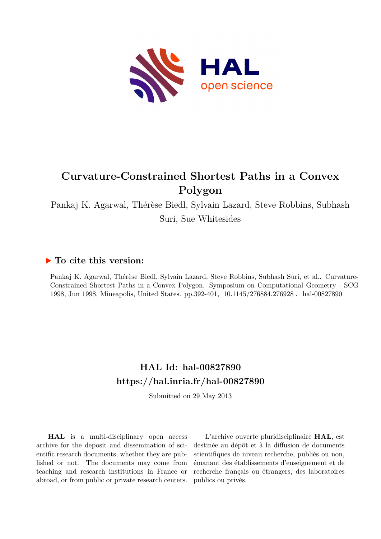

# **Curvature-Constrained Shortest Paths in a Convex Polygon**

Pankaj K. Agarwal, Thérèse Biedl, Sylvain Lazard, Steve Robbins, Subhash Suri, Sue Whitesides

### **To cite this version:**

Pankaj K. Agarwal, Thérèse Biedl, Sylvain Lazard, Steve Robbins, Subhash Suri, et al.. Curvature-Constrained Shortest Paths in a Convex Polygon. Symposium on Computational Geometry - SCG 1998, Jun 1998, Mineapolis, United States. pp.392-401, 10.1145/276884.276928. hal-00827890

## **HAL Id: hal-00827890 <https://hal.inria.fr/hal-00827890>**

Submitted on 29 May 2013

**HAL** is a multi-disciplinary open access archive for the deposit and dissemination of scientific research documents, whether they are published or not. The documents may come from teaching and research institutions in France or abroad, or from public or private research centers.

L'archive ouverte pluridisciplinaire **HAL**, est destinée au dépôt et à la diffusion de documents scientifiques de niveau recherche, publiés ou non, émanant des établissements d'enseignement et de recherche français ou étrangers, des laboratoires publics ou privés.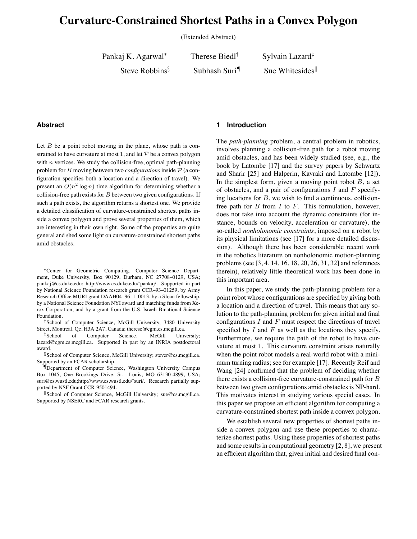## **Curvature-Constrained Shortest Paths in a Convex Polygon**

(Extended Abstract)

Pankaj K. Agarwal<sup>∗</sup> Therese Biedl<sup>†</sup> Sylvain Lazard<sup>‡</sup>

Steve Robbins<sup>§</sup> Subhash Suri<sup>¶</sup> Sue Whitesides<sup>||</sup>

#### **Abstract**

Let  $B$  be a point robot moving in the plane, whose path is constrained to have curvature at most 1, and let  $P$  be a convex polygon with  $n$  vertices. We study the collision-free, optimal path-planning problem for B moving between two *configurations* inside P (a configuration specifies both a location and a direction of travel). We present an  $O(n^2 \log n)$  time algorithm for determining whether a collision-free path exists for  $B$  between two given configurations. If such a path exists, the algorithm returns a shortest one. We provide a detailed classification of curvature-constrained shortest paths inside a convex polygon and prove several properties of them, which are interesting in their own right. Some of the properties are quite general and shed some light on curvature-constrained shortest paths amid obstacles.

#### **1 Introduction**

The *path-planning* problem, a central problem in robotics, involves planning a collision-free path for a robot moving amid obstacles, and has been widely studied (see, e.g., the book by Latombe [17] and the survey papers by Schwartz and Sharir [25] and Halperin, Kavraki and Latombe [12]). In the simplest form, given a moving point robot  $B$ , a set of obstacles, and a pair of configurations  $I$  and  $F$  specifying locations for  $B$ , we wish to find a continuous, collisionfree path for  $B$  from  $I$  to  $F$ . This formulation, however, does not take into account the dynamic constraints (for instance, bounds on velocity, acceleration or curvature), the so-called *nonholonomic constraints*, imposed on a robot by its physical limitations (see [17] for a more detailed discussion). Although there has been considerable recent work in the robotics literature on nonholonomic motion-planning problems (see [3, 4, 14, 16, 18, 20, 26, 31, 32] and references therein), relatively little theoretical work has been done in this important area.

In this paper, we study the path-planning problem for a point robot whose configurations are specified by giving both a location and a direction of travel. This means that any solution to the path-planning problem for given initial and final configurations  $I$  and  $F$  must respect the directions of travel specified by  $I$  and  $F$  as well as the locations they specify. Furthermore, we require the path of the robot to have curvature at most 1. This curvature constraint arises naturally when the point robot models a real-world robot with a minimum turning radius; see for example [17]. Recently Reif and Wang [24] confirmed that the problem of deciding whether there exists a collision-free curvature-constrained path for B between two given configurations amid obstacles is NP-hard. This motivates interest in studying various special cases. In this paper we propose an efficient algorithm for computing a curvature-constrained shortest path inside a convex polygon.

We establish several new properties of shortest paths inside a convex polygon and use these properties to characterize shortest paths. Using these properties of shortest paths and some results in computational geometry [2, 8], we present an efficient algorithm that, given initial and desired final con-

<sup>∗</sup>Center for Geometric Computing, Computer Science Department, Duke University, Box 90129, Durham, NC 27708–0129, USA; pankaj@cs.duke.edu; http://www.cs.duke.edu/˜pankaj/. Supported in part by National Science Foundation research grant CCR–93–01259, by Army Research Office MURI grant DAAH04–96–1–0013, by a Sloan fellowship, by a National Science Foundation NYI award and matching funds from Xerox Corporation, and by a grant from the U.S.-Israeli Binational Science Foundation.

<sup>†</sup>School of Computer Science, McGill University, 3480 University Street, Montreal, Qc, H3A 2A7, Canada; therese@cgm.cs.mcgill.ca.

<sup>‡</sup>School of Computer Science, McGill University; lazard@cgm.cs.mcgill.ca. Supported in part by an INRIA postdoctoral award.

<sup>§</sup>School of Computer Science, McGill University; stever@cs.mcgill.ca. Supported by an FCAR scholarship.

<sup>¶</sup>Department of Computer Science, Washington University Campus Box 1045, One Brookings Drive, St. Louis, MO 63130-4899, USA; suri@cs.wustl.edu;http://www.cs.wustl.edu/~suri/. Research partially supported by NSF Grant CCR-9501494.

<sup>&</sup>quot;School of Computer Science, McGill University; sue@cs.mcgill.ca. Supported by NSERC and FCAR research grants.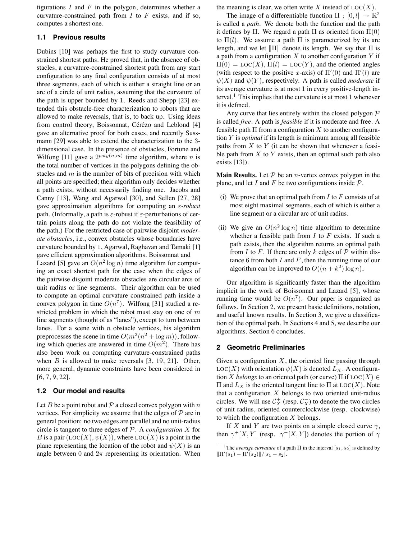figurations  $I$  and  $F$  in the polygon, determines whether a curvature-constrained path from  $I$  to  $F$  exists, and if so, computes a shortest one.

#### **1.1 Previous results**

Dubins [10] was perhaps the first to study curvature constrained shortest paths. He proved that, in the absence of obstacles, a curvature-constrained shortest path from any start configuration to any final configuration consists of at most three segments, each of which is either a straight line or an arc of a circle of unit radius, assuming that the curvature of the path is upper bounded by 1. Reeds and Shepp [23] extended this obstacle-free characterization to robots that are allowed to make reversals, that is, to back up. Using ideas from control theory, Boissonnat, Cérézo and Leblond [4] gave an alternative proof for both cases, and recently Sussmann [29] was able to extend the characterization to the 3 dimensional case. In the presence of obstacles, Fortune and Wilfong [11] gave a  $2^{poly(n,m)}$  time algorithm, where *n* is the total number of vertices in the polygons defining the obstacles and  $m$  is the number of bits of precision with which all points are specified; their algorithm only decides whether a path exists, without necessarily finding one. Jacobs and Canny [13], Wang and Agarwal [30], and Sellen [27, 28] gave approximation algorithms for computing an ε*-robust* path. (Informally, a path is  $\varepsilon$ -robust if  $\varepsilon$ -perturbations of certain points along the path do not violate the feasibility of the path.) For the restricted case of pairwise disjoint *moderate obstacles*, i.e., convex obstacles whose boundaries have curvature bounded by 1, Agarwal, Raghavan and Tamaki [1] gave efficient approximation algorithms. Boissonnat and

Lazard [5] gave an  $O(n^2 \log n)$  time algorithm for computing an exact shortest path for the case when the edges of the pairwise disjoint moderate obstacles are circular arcs of unit radius or line segments. Their algorithm can be used to compute an optimal curvature constrained path inside a convex polygon in time  $O(n^7)$ . Wilfong [31] studied a restricted problem in which the robot must stay on one of  $m$ line segments (thought of as "lanes"), except to turn between lanes. For a scene with  $n$  obstacle vertices, his algorithm preprocesses the scene in time  $O(m^2(n^2 + \log m))$ , following which queries are answered in time  $O(m^2)$ . There has also been work on computing curvature-constrained paths when  $B$  is allowed to make reversals  $[3, 19, 21]$ . Other, more general, dynamic constraints have been considered in [6, 7, 9, 22].

#### **1.2 Our model and results**

Let B be a point robot and P a closed convex polygon with  $n$ vertices. For simplicity we assume that the edges of  $P$  are in general position: no two edges are parallel and no unit-radius circle is tangent to three edges of  $P$ . A *configuration*  $X$  for B is a pair  $(LOC(X), \psi(X))$ , where  $LOC(X)$  is a point in the plane representing the location of the robot and  $\psi(X)$  is an angle between 0 and  $2\pi$  representing its orientation. When the meaning is clear, we often write  $X$  instead of  $LOC(X)$ .

The image of a differentiable function  $\Pi : [0, l] \to \mathbb{R}^2$ is called a *path*. We denote both the function and the path it defines by  $\Pi$ . We regard a path  $\Pi$  as oriented from  $\Pi(0)$ to  $\Pi(l)$ . We assume a path  $\Pi$  is parameterized by its arc length, and we let  $\|\Pi\|$  denote its length. We say that  $\Pi$  is a path from a configuration  $X$  to another configuration  $Y$  if  $\Pi(0) = \text{LOC}(X), \Pi(l) = \text{LOC}(Y)$ , and the oriented angles (with respect to the positive x-axis) of  $\Pi'(0)$  and  $\Pi'(l)$  are  $\psi(X)$  and  $\psi(Y)$ , respectively. A path is called *moderate* if its average curvature is at most 1 in every positive-length interval.<sup>1</sup> This implies that the curvature is at most 1 whenever it is defined.

Any curve that lies entirely within the closed polygon  $P$ is called *free*. A path is *feasible* if it is moderate and free. A feasible path  $\Pi$  from a configuration X to another configuration Y is *optimal* if its length is minimum among all feasible paths from  $X$  to  $Y$  (it can be shown that whenever a feasible path from  $X$  to  $Y$  exists, then an optimal such path also exists [13]).

**Main Results.** Let  $P$  be an *n*-vertex convex polygon in the plane, and let I and F be two configurations inside  $P$ .

- (i) We prove that an optimal path from  $I$  to  $F$  consists of at most eight maximal segments, each of which is either a line segment or a circular arc of unit radius.
- (ii) We give an  $O(n^2 \log n)$  time algorithm to determine whether a feasible path from  $I$  to  $F$  exists. If such a path exists, then the algorithm returns an optimal path from I to F. If there are only k edges of  $P$  within distance 6 from both  $I$  and  $F$ , then the running time of our algorithm can be improved to  $O((n+k^2)\log n)$ ,

Our algorithm is significantly faster than the algorithm implicit in the work of Boissonnat and Lazard [5], whose running time would be  $O(n^7)$ . Our paper is organized as follows. In Section 2, we present basic definitions, notation, and useful known results. In Section 3, we give a classification of the optimal path. In Sections 4 and 5, we describe our algorithms. Section 6 concludes.

#### **2 Geometric Preliminaries**

Given a configuration  $X$ , the oriented line passing through  $LOC(X)$  with orientation  $\psi(X)$  is denoted  $L_X$ . A configuration X *belongs* to an oriented path (or curve)  $\Pi$  if LOC(X)  $\in$  $\Pi$  and  $L_X$  is the oriented tangent line to  $\Pi$  at LOC(X). Note that a configuration  $X$  belongs to two oriented unit-radius circles. We will use  $\mathcal{C}_X^+$  (resp.  $\mathcal{C}_X^-$ ) to denote the two circles of unit radius, oriented counterclockwise (resp. clockwise) to which the configuration  $X$  belongs.

If X and Y are two points on a simple closed curve  $\gamma$ , then  $\gamma^+[X, Y]$  (resp.  $\gamma^-[X, Y]$ ) denotes the portion of  $\gamma$ 

<sup>&</sup>lt;sup>1</sup>The *average curvature* of a path  $\Pi$  in the interval  $[s_1, s_2]$  is defined by  $\|\Pi'(s_1) - \Pi'(s_2)\|/|s_1 - s_2|.$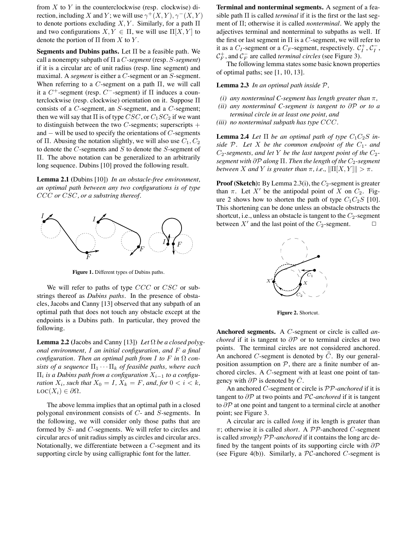from  $X$  to  $Y$  in the counterclockwise (resp. clockwise) direction, including X and Y; we will use  $\gamma^+(X, Y), \gamma^-(X, Y)$ to denote portions excluding  $X, Y$ . Similarly, for a path  $\Pi$ and two configurations  $X, Y \in \Pi$ , we will use  $\Pi[X, Y]$  to denote the portion of  $\Pi$  from X to Y.

**Segments and Dubins paths.** Let Π be a feasible path. We call a nonempty subpath of Π a C*-segment* (resp. S*-segment*) if it is a circular arc of unit radius (resp. line segment) and maximal. A *segment* is either a C-segment or an S-segment. When referring to a C-segment on a path  $\Pi$ , we will call it a  $C^+$ -segment (resp.  $C^-$ -segment) if  $\Pi$  induces a counterclockwise (resp. clockwise) orientation on it. Suppose Π consists of a C-segment, an S-segment, and a C-segment; then we will say that  $\Pi$  is of type  $CSC$ , or  $C_1SC_2$  if we want to distinguish between the two  $C$ -segments; superscripts  $+$ and  $-$  will be used to specify the orientations of  $C$ -segments of Π. Abusing the notation slightly, we will also use  $C_1, C_2$ to denote the  $C$ -segments and  $S$  to denote the  $S$ -segment of Π. The above notation can be generalized to an arbitrarily long sequence. Dubins [10] proved the following result.

**Lemma 2.1 (**Dubins [10]) *In an obstacle-free environment, an optimal path between any two configurations is of type* CCC *or* CSC*, or a substring thereof.*



**Figure 1.** Different types of Dubins paths.

We will refer to paths of type  $CCC$  or  $CSC$  or substrings thereof as *Dubins paths*. In the presence of obstacles, Jacobs and Canny [13] observed that any subpath of an optimal path that does not touch any obstacle except at the endpoints is a Dubins path. In particular, they proved the following.

**Lemma 2.2 (**Jacobs and Canny [13]) *Let* Ω *be a closed polygonal environment,* I *an initial configuration, and* F *a final configuration. Then an optimal path from I to*  $F$  *in*  $\Omega$  *consists of a sequence*  $\Pi_1 \cdots \Pi_k$  *of feasible paths, where each*  $\Pi_i$  is a Dubins path from a configuration  $X_{i-1}$  to a configu*ration*  $X_i$ *, such that*  $X_0 = I$ *,*  $X_k = F$ *, and, for*  $0 < i < k$ *,*  $\mathrm{LOC}(X_i) \in \partial \Omega$ .

The above lemma implies that an optimal path in a closed polygonal environment consists of C- and S-segments. In the following, we will consider only those paths that are formed by S- and C-segments. We will refer to circles and circular arcs of unit radius simply as circles and circular arcs. Notationally, we differentiate between a C-segment and its supporting circle by using calligraphic font for the latter.

**Terminal and nonterminal segments.** A segment of a feasible path Π is called *terminal* if it is the first or the last segment of Π; otherwise it is called *nonterminal*. We apply the adjectives terminal and nonterminal to subpaths as well. If the first or last segment in  $\Pi$  is a C-segment, we will refer to it as a  $C_I$ -segment or a  $C_F$ -segment, respectively.  $C_I^+$ ,  $C_I^ _I^ \mathcal{C}_F^+$ , and  $\mathcal{C}_F^ \overline{F}$  are called *terminal circles* (see Figure 3).

The following lemma states some basic known properties of optimal paths; see [1, 10, 13].

**Lemma 2.3** *In an optimal path inside* P*,*

- *(i)* any nonterminal C-segment has length greater than  $\pi$ ,
- *(ii) any nonterminal C-segment is tangent to* ∂P *or to a terminal circle in at least one point, and*
- *(iii) no nonterminal subpath has type* CCC*.*

**Lemma 2.4** *Let*  $\Pi$  *be an optimal path of type*  $C_1C_2S$  *inside*  $P$ *. Let*  $X$  *be the common endpoint of the*  $C_1$ *- and*  $C_2$ -segments, and let Y be the last tangent point of the  $C_2$ *segment with* ∂P *along* Π. Then the length of the  $C_2$ -segment *between X* and *Y is greater than*  $\pi$ *, i.e.,*  $\|\Pi[X, Y]\| > \pi$ *.* 

**Proof (Sketch):** By Lemma 2.3(i), the  $C_2$ -segment is greater than  $\pi$ . Let X' be the antipodal point of X on  $C_2$ . Figure 2 shows how to shorten the path of type  $C_1C_2S$  [10]. This shortening can be done unless an obstacle obstructs the shortcut, i.e., unless an obstacle is tangent to the  $C_2$ -segment between X' and the last point of the  $C_2$ -segment.  $\square$ 



**Figure 2.** Shortcut.

**Anchored segments.** A C-segment or circle is called *anchored* if it is tangent to  $\partial P$  or to terminal circles at two points. The terminal circles are not considered anchored. An anchored C-segment is denoted by  $\bar{C}$ . By our generalposition assumption on  $P$ , there are a finite number of anchored circles. A C-segment with at least one point of tangency with  $\partial P$  is denoted by  $\overline{C}$ .

An anchored C-segment or circle is PP*-anchored* if it is tangent to ∂P at two points and PC*-anchored* if it is tangent to  $\partial P$  at one point and tangent to a terminal circle at another point; see Figure 3.

A circular arc is called *long* if its length is greater than π; otherwise it is called *short*. A PP-anchored C-segment is called *strongly* PP*-anchored* if it contains the long arc defined by the tangent points of its supporting circle with  $\partial \mathcal{P}$ (see Figure 4(b)). Similarly, a  $\mathcal{PC}$ -anchored C-segment is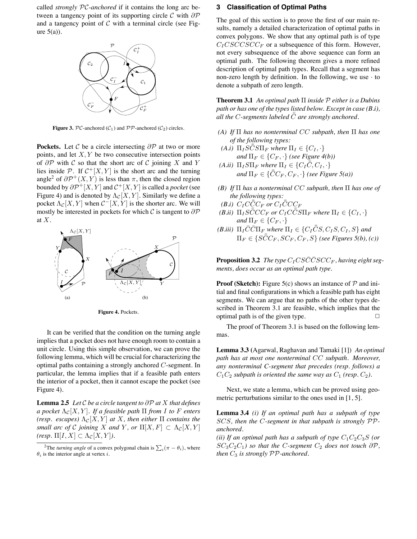called *strongly* PC*-anchored* if it contains the long arc between a tangency point of its supporting circle  $\mathcal C$  with  $\partial \mathcal P$ and a tangency point of  $C$  with a terminal circle (see Figure  $5(a)$ ).



**Figure 3.**  $PC$ -anchored  $(C_1)$  and  $PP$ -anchored  $(C_2)$  circles.

**Pockets.** Let C be a circle intersecting  $\partial P$  at two or more points, and let  $X, Y$  be two consecutive intersection points of  $\partial P$  with C so that the short arc of C joining X and Y lies inside  $\mathcal{P}$ . If  $\mathcal{C}^+[X, Y]$  is the short arc and the turning angle<sup>2</sup> of  $\partial \mathcal{P}^{+}(X, Y)$  is less than  $\pi$ , then the closed region bounded by  $\partial \mathcal{P}^+[X,Y]$  and  $\mathcal{C}^+[X,Y]$  is called a *pocket* (see Figure 4) and is denoted by  $\Lambda_{\mathcal{C}}[X, Y]$ . Similarly we define a pocket  $\Lambda_{\mathcal{C}}[X, Y]$  when  $\mathcal{C}^{-}[X, Y]$  is the shorter arc. We will mostly be interested in pockets for which  $\mathcal C$  is tangent to  $\partial \mathcal P$ at X.



**Figure 4.** Pockets.

It can be verified that the condition on the turning angle implies that a pocket does not have enough room to contain a unit circle. Using this simple observation, we can prove the following lemma, which will be crucial for characterizing the optimal paths containing a strongly anchored C-segment. In particular, the lemma implies that if a feasible path enters the interior of a pocket, then it cannot escape the pocket (see Figure 4).

**Lemma 2.5** *Let*  $C$  *be a circle tangent to*  $\partial P$  *at*  $X$  *that defines a pocket*  $\Lambda_{\mathcal{C}}[X, Y]$ *. If a feasible path*  $\Pi$  *from I to F enters (resp. escapes)*  $\Lambda_{\mathcal{C}}[X, Y]$  *at* X, then either  $\Pi$  *contains the small arc of* C *joining* X *and* Y, or  $\Pi[X, F] \subset \Lambda_c[X, Y]$ *(resp.*  $\Pi[I, X] \subset \Lambda_{\mathcal{C}}[X, Y]$ *).* 

#### **3 Classification of Optimal Paths**

The goal of this section is to prove the first of our main results, namely a detailed characterization of optimal paths in convex polygons. We show that any optimal path is of type  $C_I CSCCSCC_F$  or a subsequence of this form. However, not every subsequence of the above sequence can form an optimal path. The following theorem gives a more refined description of optimal path types. Recall that a segment has non-zero length by definition. In the following, we use  $\cdot$  to denote a subpath of zero length.

**Theorem 3.1** *An optimal path* Π *inside* P *either is a Dubins path or has one of the types listed below. Except in case (B.i),* all the C-segments labeled  $\bar{\bar{C}}$  are strongly anchored.

- *(A) If* Π *has no nonterminal* CC *subpath, then* Π *has one of the following types:*
- *(A.i)*  $\Pi_{I}S\bar{C}S\Pi_{F}$  *where*  $\Pi_{I} \in \{C_{I}, \cdot\}$ *and*  $\Pi_F \in \{C_F, \cdot\}$  *(see Figure 4(b))*
- *(A.ii)*  $\Pi_I S \Pi_F$  *where*  $\Pi_I \in \{ C_I \overline{\overline{C}}, C_I, \cdot \}$ and  $\Pi_F \in \{\bar{\bar{C}}C_F,C_F,\cdot\}$  (see Figure 5(a))
- *(B) If* Π *has a nonterminal* CC *subpath, then* Π *has one of the following types:*
- *(B.i)*  $C_I C \bar{\bar{C}} C_F$  or  $C_I \bar{\bar{C}} C C_F$
- $\overline{(B.ii)}$   $\Pi_{I}S\bar{\bar{C}}CC_{F}$  or  $C_{I}C\bar{\bar{C}}S\Pi_{F}$  where  $\Pi_{I}\in\{C_{I},\cdot\}$ *and*  $\Pi_F \in \{C_F, \cdot\}$
- *(B.iii)*  $\Pi_I \overline{C} \overline{C} \Pi_F$  *where*  $\Pi_I \in \{C_I \overline{\overline{C}}S, C_I S, C_I, S\}$  *and*  $\Pi_F \in \{\tilde{SCC_F}, \tilde{SC_F}, \tilde{C_F}, S\}$  (see Figures 5(b), (c))

**Proposition 3.2** The type  $C_I C S \bar{C} \bar{C} S C C_F$ , having eight seg*ments, does occur as an optimal path type.*

**Proof (Sketch):** Figure 5(c) shows an instance of  $P$  and initial and final configurations in which a feasible path has eight segments. We can argue that no paths of the other types described in Theorem 3.1 are feasible, which implies that the optimal path is of the given type.  $\Box$ 

The proof of Theorem 3.1 is based on the following lemmas.

**Lemma 3.3 (**Agarwal, Raghavan and Tamaki [1]) *An optimal path has at most one nonterminal* CC *subpath. Moreover, any nonterminal C-segment that precedes (resp. follows) a*  $C_1C_2$  *subpath is oriented the same way as*  $C_1$  (*resp.*  $C_2$ ).

Next, we state a lemma, which can be proved using geometric perturbations similar to the ones used in [1, 5].

**Lemma 3.4** *(i) If an optimal path has a subpath of type* SCS*, then the* C*-segment in that subpath is strongly* PP*anchored.*

*(ii)* If an optimal path has a subpath of type  $C_1C_2C_3S$  (or  $SC_3C_2C_1$ *) so that the C-segment*  $C_2$  *does not touch*  $\partial P$ *, then*  $C_3$  *is strongly*  $PP$ *-anchored.* 

<sup>&</sup>lt;sup>2</sup>The *turning angle* of a convex polygonal chain is  $\sum_i (\pi - \theta_i)$ , where  $\theta_i$  is the interior angle at vertex *i*.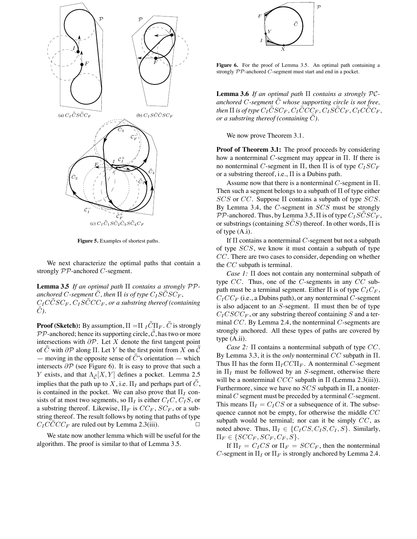

**Figure 5.** Examples of shortest paths.

We next characterize the optimal paths that contain a strongly  $PP$ -anchored C-segment.

**Lemma 3.5** *If an optimal path* Π *contains a strongly* PP*-* $\rho$  *anchored C-segment*  $\bar{\bar{C}}$  , then  $\Pi$  *is of type*  $C_I S \bar{\bar{C}} S C_F$  ,  $C_I C\bar{\bar{C}}SC_F$ ,  $C_I S\bar{\bar{C}}CC_F$ , or a substring thereof (containing  $\bar{\bar{C}}$ ).

 $\bf{Proof}$  ( ${\bf Sketch}$ ): By assumption,  $\Pi = \!\!\!\!\Pi_I \bar{\bar{C}} \Pi_F.$   $\bar{\bar{C}}$  is strongly  $\mathcal{PP}$ -anchored; hence its supporting circle,  $\bar{\bar{\mathcal{C}}}$ , has two or more intersections with  $\partial P$ . Let X denote the first tangent point of  $\bar{C}$  with  $\partial \mathcal{P}$  along  $\Pi$ . Let Y be the first point from X on  $\bar{C}$ — moving in the opposite sense of  $\bar{\bar{C}}$ 's orientation — which intersects  $\partial \mathcal{P}$  (see Figure 6). It is easy to prove that such a *Y* exists, and that  $\Lambda_{\overline{C}}[X, Y]$  defines a pocket. Lemma 2.5 implies that the path up to X, i.e.  $\Pi_I$  and perhaps part of  $\bar{\bar{C}}$ , is contained in the pocket. We can also prove that  $\Pi_I$  consists of at most two segments, so  $\Pi_I$  is either  $C_I C$ ,  $C_I S$ , or a substring thereof. Likewise,  $\Pi_F$  is  $CC_F$ ,  $SC_F$ , or a substring thereof. The result follows by noting that paths of type  $C_I C\overline{\overline{C}} C C_F$  are ruled out by Lemma 2.3(iii).

We state now another lemma which will be useful for the algorithm. The proof is similar to that of Lemma 3.5.



Figure 6. For the proof of Lemma 3.5. An optimal path containing a strongly  $PP$ -anchored  $C$ -segment must start and end in a pocket.

**Lemma 3.6** *If an optimal path* Π *contains a strongly* PCanchored C-segment  $\bar{\bar{C}}$  whose supporting circle is not free,  $f$  *then*  $\Pi$  *is of type*  $C_I\bar{\bar{C}}SC_F$  *,*  $C_I\bar{\bar{C}}C_{F}$  *,*  $C_I\bar{C}\bar{\bar{C}}C_F$  *,*  $C_I C\bar{\bar{C}}C_F$  *, or a substring thereof (containing*  $\bar{\bar{C}}$ ).

We now prove Theorem 3.1.

**Proof of Theorem 3.1:** The proof proceeds by considering how a nonterminal C-segment may appear in  $\Pi$ . If there is no nonterminal C-segment in Π, then Π is of type  $C_I S C_F$ or a substring thereof, i.e.,  $\Pi$  is a Dubins path.

Assume now that there is a nonterminal  $C$ -segment in  $\Pi$ . Then such a segment belongs to a subpath of Π of type either  $SCS$  or CC. Suppose  $\Pi$  contains a subpath of type  $SCS$ . By Lemma 3.4, the  $C$ -segment in  $SCS$  must be strongly  $\overrightarrow{PP}$ -anchored. Thus, by Lemma 3.5,  $\Pi$  is of type  $C_I S \overline{\overline{C}} S \overline{C_F}$ , or substrings (containing  $S\bar{C}S$ ) thereof. In other words,  $\Pi$  is of type (A.i).

If  $\Pi$  contains a nonterminal C-segment but not a subpath of type SCS, we know it must contain a subpath of type CC. There are two cases to consider, depending on whether the CC subpath is terminal.

*Case 1:* Π does not contain any nonterminal subpath of type  $CC$ . Thus, one of the C-segments in any  $CC$  subpath must be a terminal segment. Either  $\Pi$  is of type  $C_I C_F$ ,  $C_ICC_F$  (i.e., a Dubins path), or any nonterminal C-segment is also adjacent to an  $S$ -segment.  $\Pi$  must then be of type  $C_{I}CSCC_{F}$ , or any substring thereof containing S and a terminal  $CC$ . By Lemma 2.4, the nonterminal  $C$ -segments are strongly anchored. All these types of paths are covered by type (A.ii).

*Case 2:* Π contains a nonterminal subpath of type CC. By Lemma 3.3, it is the *only* nonterminal CC subpath in Π. Thus  $\Pi$  has the form  $\Pi_{I} C C \Pi_{F}$ . A nonterminal C-segment in  $\Pi$ <sub>I</sub> must be followed by an S-segment, otherwise there will be a nonterminal  $CCC$  subpath in  $\Pi$  (Lemma 2.3(iii)). Furthermore, since we have no  $SCS$  subpath in  $\Pi$ , a nonterminal C segment must be preceded by a terminal C-segment. This means  $\Pi_I = C_I C S$  or a subsequence of it. The subsequence cannot not be empty, for otherwise the middle CC subpath would be terminal; nor can it be simply  $CC$ , as noted above. Thus,  $\Pi_I \in \{C_I CS, C_I S, C_I, S\}$ . Similarly,  $\Pi_F \in \{SCC_F, SC_F, C_F, S\}.$ 

If  $\Pi_I = C_I C S$  or  $\Pi_F = S C C_F$ , then the nonterminal C-segment in  $\Pi_I$  or  $\Pi_F$  is strongly anchored by Lemma 2.4.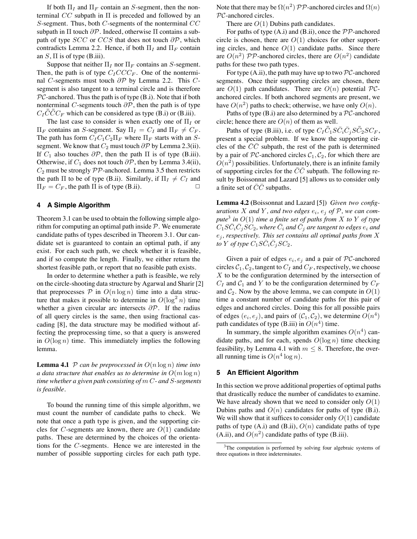If both  $\Pi_I$  and  $\Pi_F$  contain an S-segment, then the nonterminal  $CC$  subpath in  $\Pi$  is preceded and followed by an S-segment. Thus, both  $C$ -segments of the nonterminal  $CC$ subpath in  $\Pi$  touch  $\partial \mathcal{P}$ . Indeed, otherwise  $\Pi$  contains a subpath of type  $SCC$  or  $CCS$  that does not touch  $\partial P$ , which contradicts Lemma 2.2. Hence, if both  $\Pi_I$  and  $\Pi_F$  contain an  $S$ ,  $\Pi$  is of type (B.iii).

Suppose that neither  $\Pi_I$  nor  $\Pi_F$  contains an S-segment. Then, the path is of type  $C_ICCC_F$ . One of the nonterminal C-segments must touch  $\partial \mathcal{P}$  by Lemma 2.2. This Csegment is also tangent to a terminal circle and is therefore  $PC$ -anchored. Thus the path is of type  $(B.i)$ . Note that if both nonterminal C-segments touch  $\partial \mathcal{P}$ , then the path is of type  $C_I \overline{\overline{C}} \overline{\overline{C}} C_F$  which can be considered as type (B.i) or (B.iii).

The last case to consider is when exactly one of  $\Pi_I$  or  $\Pi_F$  contains an S-segment. Say  $\Pi_I = C_I$  and  $\Pi_F \neq C_F$ . The path has form  $C_I C_1 C_2 \Pi_F$  where  $\Pi_F$  starts with an Ssegment. We know that  $C_2$  must touch  $\partial P$  by Lemma 2.3(ii). If  $C_1$  also touches  $\partial \mathcal{P}$ , then the path  $\Pi$  is of type (B.iii). Otherwise, if  $C_1$  does not touch  $\partial \mathcal{P}$ , then by Lemma 3.4(ii),  $C_2$  must be strongly  $PP$ -anchored. Lemma 3.5 then restricts the path  $\Pi$  to be of type (B.ii). Similarly, if  $\Pi_I \neq C_I$  and  $\Pi_F = C_F$ , the path  $\Pi$  is of type (B.ii).

#### **4 A Simple Algorithm**

Theorem 3.1 can be used to obtain the following simple algorithm for computing an optimal path inside  $P$ . We enumerate candidate paths of types described in Theorem 3.1. Our candidate set is guaranteed to contain an optimal path, if any exist. For each such path, we check whether it is feasible, and if so compute the length. Finally, we either return the shortest feasible path, or report that no feasible path exists.

In order to determine whether a path is feasible, we rely on the circle-shooting data structure by Agarwal and Sharir [2] that preprocesses  $P$  in  $O(n \log n)$  time into a data structure that makes it possible to determine in  $O(\log^2 n)$  time whether a given circular arc intersects  $\partial P$ . If the radius of all query circles is the same, then using fractional cascading [8], the data structure may be modified without affecting the preprocessing time, so that a query is answered in  $O(\log n)$  time. This immediately implies the following lemma.

**Lemma 4.1** P can be preprocessed in  $O(n \log n)$  time into *a data structure that enables us to determine in*  $O(m \log n)$ *time whether a given path consisting of* m C*- and* S*-segments is feasible.*

To bound the running time of this simple algorithm, we must count the number of candidate paths to check. We note that once a path type is given, and the supporting circles for C-segments are known, there are  $O(1)$  candidate paths. These are determined by the choices of the orientations for the C-segments. Hence we are interested in the number of possible supporting circles for each path type.

Note that there may be  $\Omega(n^2)$   $\mathcal{PP}$ -anchored circles and  $\Omega(n)$ PC-anchored circles.

There are  $O(1)$  Dubins path candidates.

For paths of type  $(A,i)$  and  $(B.ii)$ , once the  $\mathcal{PP}$ -anchored circle is chosen, there are  $O(1)$  choices for other supporting circles, and hence  $O(1)$  candidate paths. Since there are  $O(n^2)$  PP-anchored circles, there are  $O(n^2)$  candidate paths for these two path types.

For type  $(A.ii)$ , the path may have up to two  $\mathcal{PC}$ -anchored segments. Once their supporting circles are chosen, there are  $O(1)$  path candidates. There are  $O(n)$  potential  $PC$ anchored circles. If both anchored segments are present, we have  $O(n^2)$  paths to check; otherwise, we have only  $O(n)$ .

Paths of type  $(B_i)$  are also determined by a  $\mathcal{PC}$ -anchored circle; hence there are  $O(n)$  of them as well.

Paths of type (B.iii), i.e. of type  $C_I \bar{\bar{C}}_1 S \bar{C}_i \bar{C}_j S \bar{\bar{C}}_2 S C_F$ , present a special problem. If we know the supporting circles of the  $\overline{C}\overline{C}$  subpath, the rest of the path is determined by a pair of PC-anchored circles  $C_1, C_2$ , for which there are  $O(n^2)$  possibilities. Unfortunately, there is an infinite family of supporting circles for the  $\overline{C}\overline{C}$  subpath. The following result by Boissonnat and Lazard [5] allows us to consider only a finite set of  $\bar{C}\bar{C}$  subpaths.

**Lemma 4.2 (**Boissonnat and Lazard [5]) *Given two config* $u$ rations  $X$  and  $Y$ , and two edges  $e_i$ ,  $e_j$  of  $P$ , we can com*pute*<sup>3</sup> *in* O(1) *time a finite set of paths from* X *to* Y *of type*  $\overline{C_1}S\bar{C}_i\bar{C}_j\overline{S}\overline{C}_2$ , where  $\bar{C}_i$  and  $\bar{C}_j$  are tangent to edges  $\overline{e_i}$  and  $e_j$ , respectively. This set contains all optimal paths from  $X$ to  $Y$  of type  $C_1 S \bar{C}_i \bar{C}_j SC_2$ .

Given a pair of edges  $e_i, e_j$  and a pair of PC-anchored circles  $C_1$ ,  $C_2$ , tangent to  $C_I$  and  $C_F$ , respectively, we choose  $X$  to be the configuration determined by the intersection of  $C_I$  and  $C_1$  and Y to be the configuration determined by  $C_F$ and  $C_2$ . Now by the above lemma, we can compute in  $O(1)$ time a constant number of candidate paths for this pair of edges and anchored circles. Doing this for all possible pairs of edges  $(e_i, e_j)$ , and pairs of  $(C_1, C_2)$ , we determine  $O(n^4)$ path candidates of type (B.iii) in  $O(n^4)$  time.

In summary, the simple algorithm examines  $O(n^4)$  candidate paths, and for each, spends  $O(\log n)$  time checking feasibility, by Lemma 4.1 with  $m \leq 8$ . Therefore, the overall running time is  $O(n^4 \log n)$ .

#### **5 An Efficient Algorithm**

In this section we prove additional properties of optimal paths that drastically reduce the number of candidates to examine. We have already shown that we need to consider only  $O(1)$ Dubins paths and  $O(n)$  candidates for paths of type (B.i). We will show that it suffices to consider only  $O(1)$  candidate paths of type  $(A,i)$  and  $(B.ii)$ ,  $O(n)$  candidate paths of type (A.ii), and  $O(n^2)$  candidate paths of type (B.iii).

<sup>&</sup>lt;sup>3</sup>The computation is performed by solving four algebraic systems of three equations in three indeterminates.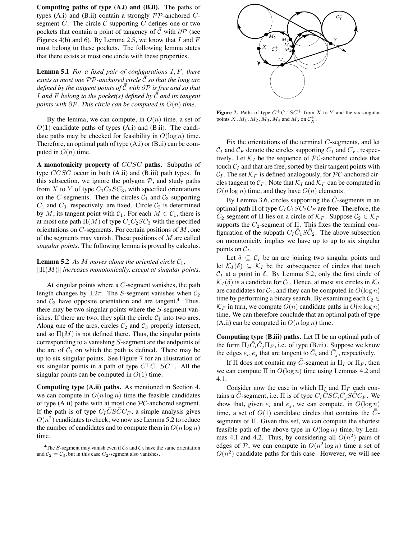**Computing paths of type (A.i) and (B.ii).** The paths of types (A.i) and (B.ii) contain a strongly  $PP$ -anchored  $C$ segment  $\overline{\overline{C}}$ . The circle  $\overline{\overline{C}}$  supporting  $\overline{\overline{C}}$  defines one or two pockets that contain a point of tangency of  $\bar{\bar{\mathcal{C}}}$  with  $\partial \mathcal{P}$  (see Figures 4(b) and 6). By Lemma 2.5, we know that  $I$  and  $F$ must belong to these pockets. The following lemma states that there exists at most one circle with these properties.

**Lemma 5.1** *For a fixed pair of configurations* I,F*, there* exists at most one PP-anchored circle  $\bar{\bar{\mathcal{C}}}$  so that the long arc *defined by the tangent points of* C ¯¯*with* ∂P *is free and so that* I and F belong to the pocket(s) defined by  $\vec{\bar{C}}$  and its tangent *points with* ∂P*. This circle can be computed in* O(n) *time.*

By the lemma, we can compute, in  $O(n)$  time, a set of  $O(1)$  candidate paths of types  $(A,i)$  and  $(B.ii)$ . The candidate paths may be checked for feasibility in  $O(\log n)$  time. Therefore, an optimal path of type  $(A,i)$  or  $(B.ii)$  can be computed in  $O(n)$  time.

**A monotonicity property of** CCSC **paths.** Subpaths of type  $CCSC$  occur in both  $(A.ii)$  and  $(B.iii)$  path types. In this subsection, we ignore the polygon  $P$ , and study paths from X to Y of type  $C_1C_2SC_3$ , with specified orientations on the C-segments. Then the circles  $C_1$  and  $C_3$  supporting  $C_1$  and  $C_3$ , respectively, are fixed. Circle  $C_2$  is determined by M, its tangent point with  $C_1$ . For each  $M \in C_1$ , there is at most one path  $\Pi(M)$  of type  $C_1C_2SC_3$  with the specified orientations on  $C$ -segments. For certain positions of  $M$ , one of the segments may vanish. These positions of  $M$  are called *singular points*. The following lemma is proved by calculus.

#### **Lemma 5.2** As M moves along the oriented circle  $C_1$ ,  $\|\Pi(M)\|$  *increases monotonically, except at singular points.*

At singular points where a  $C$ -segment vanishes, the path length changes by  $\pm 2\pi$ . The S-segment vanishes when  $\mathcal{C}_2$ and  $C_3$  have opposite orientation and are tangent.<sup>4</sup> Thus, there may be two singular points where the S-segment vanishes. If there are two, they split the circle  $C_1$  into two arcs. Along one of the arcs, circles  $C_2$  and  $C_3$  properly intersect, and so  $\Pi(M)$  is not defined there. Thus, the singular points corresponding to a vanishing S-segment are the endpoints of the arc of  $C_1$  on which the path is defined. There may be up to six singular points. See Figure 7 for an illustration of six singular points in a path of type  $C^+C^-SC^+$ . All the singular points can be computed in  $O(1)$  time.

**Computing type (A.ii) paths.** As mentioned in Section 4, we can compute in  $O(n \log n)$  time the feasible candidates of type  $(A.ii)$  paths with at most one  $PC$ -anchored segment. If the path is of type  $C_I \bar{\bar{C}} S \bar{\bar{C}} C_F$ , a simple analysis gives  $O(n^2)$  candidates to check; we now use Lemma 5.2 to reduce the number of candidates and to compute them in  $O(n \log n)$ time.



**Figure 7.** Paths of type  $C^+C^-SC^+$  from X to Y and the six singular points X,  $M_1$ ,  $M_2$ ,  $M_3$ ,  $M_4$  and  $M_5$  on  $C_X^+$ .

Fix the orientations of the terminal  $C$ -segments, and let  $C_I$  and  $C_F$  denote the circles supporting  $C_I$  and  $C_F$ , respectively. Let  $\mathcal{K}_I$  be the sequence of PC-anchored circles that touch  $C_I$  and that are free, sorted by their tangent points with  $C_I$ . The set  $\mathcal{K}_F$  is defined analogously, for PC-anchored circles tangent to  $\mathcal{C}_F$ . Note that  $\mathcal{K}_I$  and  $\mathcal{K}_F$  can be computed in  $O(n \log n)$  time, and they have  $O(n)$  elements.

By Lemma 3.6, circles supporting the  $\bar{\bar{C}}$ -segments in an optimal path  $\Pi$  of type  $C_I \overline{\bar{C}}_1 S \overline{\bar{C}}_2 C_F$  are free. Therefore, the  $\overline{\overline{C}}_2$ -segment of  $\Pi$  lies on a circle of  $\mathcal{K}_F$ . Suppose  $\mathcal{C}_2 \in \mathcal{K}_F$ supports the  $\bar{C}_2$ -segment of  $\Pi$ . This fixes the terminal configuration of the subpath  $C_I \overline{\overline{C}}_1 S \overline{\overline{C}}_2$ . The above subsection on monotonicity implies we have up to up to six singular points on  $C_I$ .

Let  $\delta \subseteq C_I$  be an arc joining two singular points and let  $\mathcal{K}_I(\delta) \subseteq \mathcal{K}_I$  be the subsequence of circles that touch  $C_I$  at a point in  $\delta$ . By Lemma 5.2, only the first circle of  $\mathcal{K}_I(\delta)$  is a candidate for  $\mathcal{C}_1$ . Hence, at most six circles in  $\mathcal{K}_I$ are candidates for  $C_1$ , and they can be computed in  $O(\log n)$ time by performing a binary search. By examining each  $C_2 \in$  $\mathcal{K}_F$  in turn, we compute  $O(n)$  candidate paths in  $O(n \log n)$ time. We can therefore conclude that an optimal path of type (A.ii) can be computed in  $O(n \log n)$  time.

**Computing type (B.iii) paths.** Let Π be an optimal path of the form  $\Pi_I \overline{\dot{C}_i \overline{\dot{C}}_j \Pi_F}$ , i.e. of type (B.iii). Suppose we know the edges  $e_i, e_j$  that are tangent to  $\overline{C}_i$  and  $\overline{C}_j$ , respectively.

If  $\Pi$  does not contain any  $\bar{\bar{C}}$ -segment in  $\Pi_I$  or  $\Pi_F$ , then we can compute  $\Pi$  in  $O(\log n)$  time using Lemmas 4.2 and 4.1.

Consider now the case in which  $\Pi_L$  and  $\Pi_F$  each contains a  $\bar{\bar{C}}$ -segment, i.e.  $\Pi$  is of type  $C_I\bar{\bar{C}}S\bar{C_i}\bar{C_j}S\bar{\bar{C}}C_F$ . We show that, given  $e_i$  and  $e_j$ , we can compute, in  $O(\log n)$ time, a set of  $O(1)$  candidate circles that contains the  $\bar{C}$ segments of Π. Given this set, we can compute the shortest feasible path of the above type in  $O(\log n)$  time, by Lemmas 4.1 and 4.2. Thus, by considering all  $O(n^2)$  pairs of edges of P, we can compute in  $O(n^2 \log n)$  time a set of  $O(n^2)$  candidate paths for this case. However, we will see

<sup>&</sup>lt;sup>4</sup>The S-segment may vanish even if  $C_2$  and  $C_3$  have the same orientation and  $C_2 = C_3$ , but in this case  $C_2$ -segment also vanishes.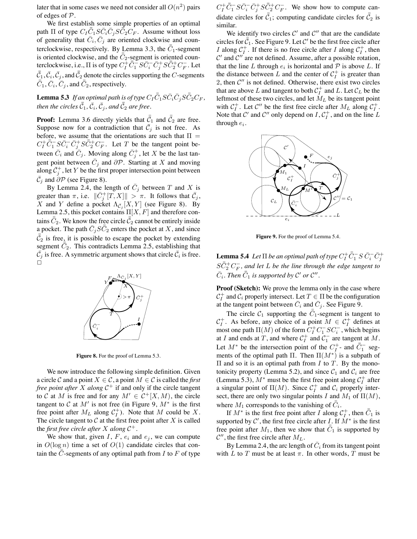later that in some cases we need not consider all  $O(n^2)$  pairs of edges of P.

We first establish some simple properties of an optimal path  $\Pi$  of type  $C_I \bar{\bar{C}}_1 S \bar{C}_i \bar{C}_j S \bar{\bar{C}}_2 C_F$ . Assume without loss of generality that  $\bar{C}_i, \bar{C}_j$  are oriented clockwise and counterclockwise, respectively. By Lemma 3.3, the  $\bar{\bar{C}}_1$ -segment is oriented clockwise, and the  $\bar{C}_2$ -segment is oriented counterclockwise, i.e.,  $\Pi$  is of type  $C_I^+ \bar{\bar{C}}_1^- S \bar{C}_i^- \bar{C}_j^+ S \bar{\bar{C}}_2^+ C_F^ _F^-$ . Let  $\bar{\bar{\mathcal{C}}}_1$  ,  $\bar{\mathcal{C}}_i$  ,  $\bar{\mathcal{C}}_j$  , and  $\bar{\bar{\mathcal{C}}}_2$  denote the circles supporting the  $C$ -segments  $\bar{\bar{C}}_1$ ,  $\bar{C}_i$ ,  $\bar{\bar{C}}_j$ , and  $\bar{\bar{C}}_2$ , respectively.

 ${\bf Lemma}$  5.3 If an optimal path is of type  $C_I\bar{\bar{C}}_1S\bar{C}_i\bar{C}_jS\bar{\bar{C}}_2C_F,$ then the circles  $\bar{\bar{\mathcal{C}}}_1$  ,  $\bar{\mathcal{C}}_i$  ,  $\bar{\mathcal{C}}_j$  , and  $\bar{\bar{\mathcal{C}}}_2$  are free.

**Proof:** Lemma 3.6 directly yields that  $\bar{C}_1$  and  $\bar{C}_2$  are free. Suppose now for a contradiction that  $\overline{C}_j$  is not free. As before, we assume that the orientations are such that  $\Pi =$  $C_{I}^{+}\bar{\bar{C}}_{1}^{-}S\bar{C}_{i}^{-}\bar{C}_{j}^{+}S\bar{\bar{C}}_{2}^{+}C_{F}^{-}$  $F_F$ . Let T be the tangent point between  $\bar{C}_i$  and  $\bar{C}_j$ . Moving along  $\bar{C}_j^+$ , let X be the last tangent point between  $\bar{C}_j$  and  $\partial \mathcal{P}$ . Starting at X and moving along  $\bar{\mathcal{C}}_j^+$ , let Y be the first proper intersection point between  $\bar{\mathcal{C}}_j$  and  $\partial \mathcal{P}$  (see Figure 8).

By Lemma 2.4, the length of  $\overline{C}_j$  between T and X is greater than  $\pi$ , i.e.  $\|\bar{C}_j^+[T,X]\| > \pi$ . It follows that  $\bar{C}_j$ , X and Y define a pocket  $\Lambda_{\overline{C}_j}[X, Y]$  (see Figure 8). By Lemma 2.5, this pocket contains  $\Pi[X, F]$  and therefore contains  $\bar{\bar{C}}_2$ . We know the free circle  $\bar{\bar{\mathcal{C}}}_2$  cannot be entirely inside a pocket. The path  $\bar{C}_j S \bar{\bar{C}}_2$  enters the pocket at X, and since  $\bar{C}_2$  is free, it is possible to escape the pocket by extending segment  $\overline{\overline{C}}_2$ . This contradicts Lemma 2.5, establishing that  $\bar{\mathcal{C}}_j$  is free. A symmetric argument shows that circle  $\bar{\mathcal{C}}_i$  is free. ά



**Figure 8.** For the proof of Lemma 5.3.

We now introduce the following simple definition. Given a circle C and a point  $X \in \mathcal{C}$ , a point  $M \in \mathcal{C}$  is called the *first free point after* X *along* C <sup>+</sup> if and only if the circle tangent to C at M is free and for any  $M' \in C^+[X, M)$ , the circle tangent to C at  $M'$  is not free (in Figure 9,  $M^*$  is the first free point after  $M_L$  along  $C_I^+$ ). Note that M could be X. The circle tangent to  $\mathcal C$  at the first free point after  $X$  is called the *first free circle after*  $X$  *along*  $C^+$ .

We show that, given  $I, F, e_i$  and  $e_j$ , we can compute in  $O(\log n)$  time a set of  $O(1)$  candidate circles that contain the  $\overline{\overline{C}}$ -segments of any optimal path from I to F of type

 $C_{I}^{+}\bar{\bar{C}}_{1}^{-}S\bar{C}_{i}^{-}\bar{C}_{j}^{+}S\bar{\bar{C}}_{2}^{+}C_{F}^{-}$  $F_F^-$ . We show how to compute candidate circles for  $\bar{c}_1$ ; computing candidate circles for  $\bar{c}_2$  is similar.

We identify two circles  $\mathcal{C}'$  and  $\mathcal{C}''$  that are the candidate circles for  $\bar{c}_1$ . See Figure 9. Let C' be the first free circle after I along  $C_I^+$ . If there is no free circle after I along  $C_I^+$ , then  $\mathcal{C}'$  and  $\mathcal{C}''$  are not defined. Assume, after a possible rotation, that the line L through  $e_i$  is horizontal and  $P$  is above L. If the distance between L and the center of  $C_I^+$  is greater than 2, then  $C''$  is not defined. Otherwise, there exist two circles that are above L and tangent to both  $C_I^+$  and L. Let  $\mathcal{C}_L$  be the leftmost of these two circles, and let  $M_L$  be its tangent point with  $C_I^+$ . Let  $C''$  be the first free circle after  $M_L$  along  $C_I^+$ . Note that C' and C'' only depend on  $I, C_I^+$ , and on the line L through  $e_i$ .



**Figure 9.** For the proof of Lemma 5.4.

**Lemma 5.4** Let  $\Pi$  be an optimal path of type  $C_I^+ \bar{\bar{C}}_1^- S \, \bar{C}_i^- \bar{C}_j^+$  $S\bar{\bar{C}}_2^+C_F^-$ F *, and let* L *be the line through the edge tangent to*  $\overline{C}_i$ . Then  $\overline{\overline{C}}_1$  is supported by  $\mathcal{C}'$  or  $\mathcal{C}''$ .

**Proof (Sketch):** We prove the lemma only in the case where  $C_I^+$  and  $C_i$  properly intersect. Let  $T \in \Pi$  be the configuration at the tangent point between  $\bar{C}_i$  and  $\bar{C}_j$ . See Figure 9.

The circle  $C_1$  supporting the  $\overline{\overline{C}}_1$ -segment is tangent to  $C_I^+$ . As before, any choice of a point  $M \in C_I^+$  defines at most one path  $\Pi(M)$  of the form  $C_I^+ C_1^- S C_i^-$ , which begins at I and ends at T, and where  $C_1^+$  and  $C_1^ \overline{1}$  are tangent at M. Let  $M^*$  be the intersection point of the  $C_I^+$ - and  $\overline{\overline{C}}_1^-$  segments of the optimal path  $\Pi$ . Then  $\Pi(M^*)$  is a subpath of  $\Pi$  and so it is an optimal path from *I* to *T*. By the monotonicity property (Lemma 5.2), and since  $C_1$  and  $C_i$  are free (Lemma 5.3),  $M^*$  must be the first free point along  $C_I^+$  after a singular point of  $\Pi(M)$ . Since  $C_I^+$  and  $C_i$  properly intersect, there are only two singular points I and  $M_1$  of  $\Pi(M)$ , where  $M_1$  corresponds to the vanishing of  $\bar{\bar{C}}_i$ .

If  $M^*$  is the first free point after I along  $C_I^+$ , then  $\bar{C}_1$  is supported by  $\mathcal{C}'$ , the first free circle after I. If  $\dot{M}^*$  is the first free point after  $M_1$ , then we show that  $\bar{C}_1$  is supported by  $\mathcal{C}''$ , the first free circle after  $M_L$ .

By Lemma 2.4, the arc length of  $\bar{C}_i$  from its tangent point with L to T must be at least  $\pi$ . In other words, T must be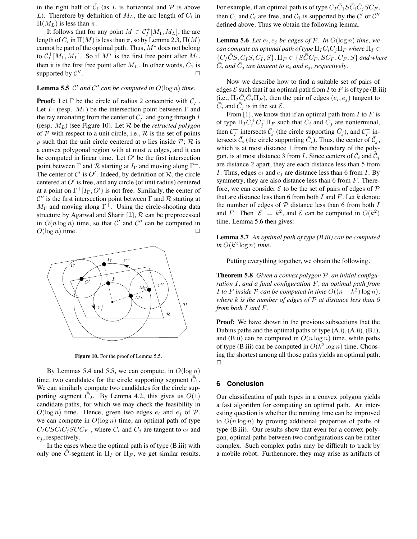in the right half of  $\overline{C}_i$  (as L is horizontal and P is above L). Therefore by definition of  $M_L$ , the arc length of  $C_i$  in  $\Pi(M_L)$  is less than  $\pi$ .

It follows that for any point  $M \in C_I^+[M_1, M_L]$ , the arc length of  $C_i$  in  $\Pi(M)$  is less than  $\pi,$  so by Lemma 2.3,  $\Pi(M)$ cannot be part of the optimal path. Thus,  $M^*$  does not belong to  $C_I^+[M_1,M_L]$ . So if  $M^*$  is the first free point after  $M_1$ , then it is the first free point after  $M_L$ . In other words,  $\bar{C}_1$  is supported by  $\mathcal{C}''$ .  $\Box$ 

### **Lemma 5.5**  $\mathcal{C}'$  and  $\mathcal{C}''$  can be computed in  $O(\log n)$  time.

**Proof:** Let  $\Gamma$  be the circle of radius 2 concentric with  $C_I^+$ . Let  $I_{\Gamma}$  (resp.  $M_{\Gamma}$ ) be the intersection point between  $\Gamma$  and the ray emanating from the center of  $C_I^+$  and going through I (resp. ML) (see Figure 10). Let R be the *retracted polygon* of  $P$  with respect to a unit circle, i.e.,  $R$  is the set of points p such that the unit circle centered at p lies inside  $\mathcal{P}$ ;  $\mathcal{R}$  is a convex polygonal region with at most  $n$  edges, and it can be computed in linear time. Let  $O'$  be the first intersection point between  $\Gamma$  and  $\mathcal R$  starting at  $I_{\Gamma}$  and moving along  $\Gamma^{+}$ . The center of C' is O'. Indeed, by definition of  $\mathcal{R}$ , the circle centered at  $O'$  is free, and any circle (of unit radius) centered at a point on  $\Gamma^+[I_{\Gamma},O')$  is not free. Similarly, the center of  $\mathcal{C}''$  is the first intersection point between  $\Gamma$  and  $\mathcal R$  starting at  $M_{\Gamma}$  and moving along  $\Gamma^{+}$ . Using the circle-shooting data structure by Agarwal and Sharir [2],  $R$  can be preprocessed in  $O(n \log n)$  time, so that  $C'$  and  $C''$  can be computed in  $O(\log n)$  time.



**Figure 10.** For the proof of Lemma 5.5.

By Lemmas 5.4 and 5.5, we can compute, in  $O(\log n)$ time, two candidates for the circle supporting segment  $\overline{\overline{C}}_1$ . We can similarly compute two candidates for the circle supporting segment  $\overline{\overline{C}}_2$ . By Lemma 4.2, this gives us  $O(1)$ candidate paths, for which we may check the feasibility in  $O(\log n)$  time. Hence, given two edges  $e_i$  and  $e_j$  of  $P$ , we can compute in  $O(\log n)$  time, an optimal path of type  $C_I \bar{\bar{C}} S \bar{C}_i \bar{C}_j S \bar{\bar{C}} C_F$ , where  $\bar{C}_i$  and  $\bar{C}_j$  are tangent to  $e_i$  and  $e_i$ , respectively.

In the cases where the optimal path is of type (B.iii) with only one  $\bar{C}$ -segment in  $\Pi_I$  or  $\Pi_F$ , we get similar results.

For example, if an optimal path is of type  $C_I\bar{\bar{C}}_1S\bar{C}_i\bar{C}_jSC_F,$ then  $\bar{C}_1$  and  $\bar{C}_i$  are free, and  $\bar{C}_1$  is supported by the C' or C'' defined above. Thus we obtain the following lemma.

**Lemma 5.6** Let  $e_i, e_j$  be edges of  $P$ . In  $O(\log n)$  time, we  $c$ an  $\emph{compute}$  an  $\emph{optimal}$  path of type  $\Pi_I \bar{C}_i \bar{C}_j \Pi_F$  where  $\Pi_I \in$  $\{C_I \bar{\bar{C}}S, C_I S, C_I, S\}, \Pi_F \in \{\tilde{SCC_F}, \tilde{C_F}, C_F, S\}$  and where  $\tilde{C}_i$  and  $\bar{C}_j$  are tangent to  $e_i$  and  $e_j$ , respectively.

Now we describe how to find a suitable set of pairs of edges  $\mathcal E$  such that if an optimal path from I to F is of type (B.iii) (i.e.,  $\Pi_I \overline{C}_i \overline{C}_j \Pi_F$ ), then the pair of edges  $(e_i, e_j)$  tangent to  $\overline{C}_i$  and  $\overline{C}_j$  is in the set  $\mathcal{E}$ .

From [1], we know that if an optimal path from  $I$  to  $F$  is of type  $\Pi_I \overline{\dot{C}}_i^+ \overline{\dot{C}}_j^- \Pi_F$  such that  $\overline{\dot{C}}_i$  and  $\overline{\dot{C}}_j$  are nonterminal, then  $C_I^+$  intersects  $\bar{C}_j$  (the circle supporting  $\bar{C}_j$ ), and  $C_F^ \overline{F}$  intersects  $\bar{\mathcal{C}}_i$  (the circle supporting  $\bar{\mathcal{C}}_i$ ). Thus, the center of  $\bar{\mathcal{C}}_j$ , which is at most distance 1 from the boundary of the polygon, is at most distance 3 from *I*. Since centers of  $\overline{C}_i$  and  $\overline{C}_j$ are distance 2 apart, they are each distance less than 5 from I. Thus, edges  $e_i$  and  $e_j$  are distance less than 6 from I. By symmetry, they are also distance less than 6 from  $F$ . Therefore, we can consider  $\mathcal E$  to be the set of pairs of edges of  $\mathcal P$ that are distance less than 6 from both  $I$  and  $F$ . Let  $k$  denote the number of edges of  $P$  distance less than 6 from both  $I$ and F. Then  $|\mathcal{E}| = k^2$ , and  $\mathcal E$  can be computed in  $O(k^2)$ time. Lemma 5.6 then gives:

**Lemma 5.7** *An optimal path of type (B.iii) can be computed*  $\sin O(k^2 \log n)$  *time*.

Putting everything together, we obtain the following.

**Theorem 5.8** *Given a convex polygon* P*, an initial configuration* I*, and a final configuration* F*, an optimal path from I* to *F* inside *P* can be computed in time  $O((n + k^2) \log n)$ , *where* k *is the number of edges of* P *at distance less than 6 from both* I *and* F*.*

**Proof:** We have shown in the previous subsections that the Dubins paths and the optimal paths of type  $(A,i)$ ,  $(A,ii)$ ,  $(B,i)$ , and (B.ii) can be computed in  $O(n \log n)$  time, while paths of type (B.iii) can be computed in  $O(k^2 \log n)$  time. Choosing the shortest among all those paths yields an optimal path.  $\Box$ 

#### **6 Conclusion**

Our classification of path types in a convex polygon yields a fast algorithm for computing an optimal path. An interesting question is whether the running time can be improved to  $O(n \log n)$  by proving additional properties of paths of type (B.iii). Our results show that even for a convex polygon, optimal paths between two configurations can be rather complex. Such complex paths may be difficult to track by a mobile robot. Furthermore, they may arise as artifacts of